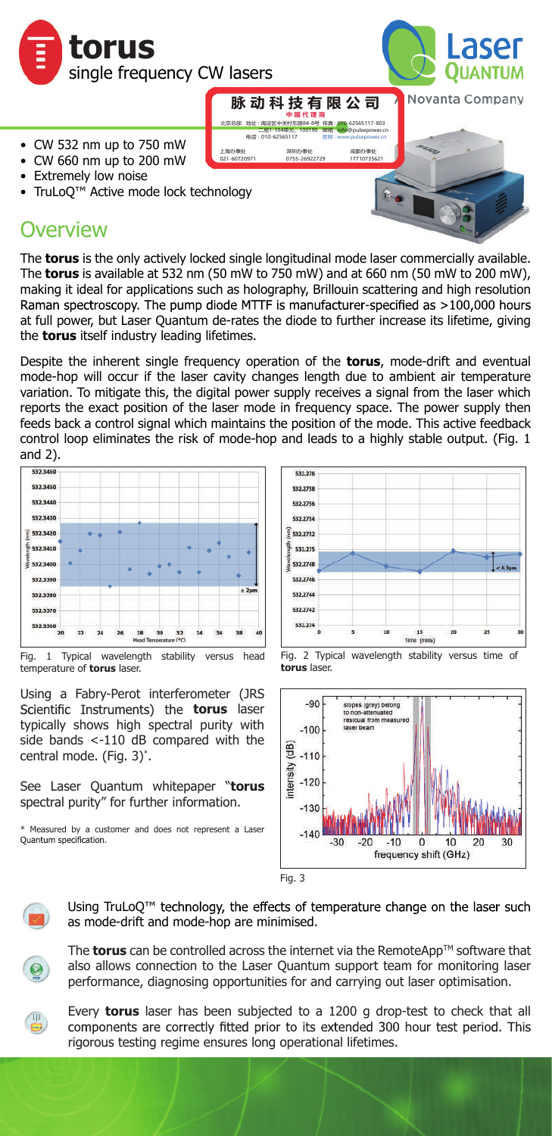



- CW 532 nm up to 750 mW
- CW 660 nm up to 200 mW
- **Extremely low noise**
- TruLoQ™ Active mode lock technology

## **Overview**

The **torus** is the only actively locked single longitudinal mode laser commercially available. The **torus** is available at 532 nm (50 mW to 750 mW) and at 660 nm (50 mW to 200 mW), making it ideal for applications such as holography, Brillouin scattering and high resolution Raman spectroscopy. The pump diode MTTF is manufacturer-specified as >100,000 hours at full power, but Laser Quantum de-rates the diode to further increase its lifetime, giving the **torus** itself industry leading lifetimes.

地址 : 海淀区中关村东路84-8号 二层1-104单元,100190 北京总部 电话: 01

上海办事处 深圳办事处 成都办事处 021-60720971 0755-26922729 17710735621

876,<br>1117

**中 国 代 理 商**

传真 : 010-62565117-803 邮箱 : info@pulsepower.cn

官网 : www.pulsepower.cn

Despite the inherent single frequency operation of the **torus**, mode-drift and eventual mode-hop will occur if the laser cavity changes length due to ambient air temperature variation. To mitigate this, the digital power supply receives a signal from the laser which reports the exact position of the laser mode in frequency space. The power supply then feeds back a control signal which maintains the position of the mode. This active feedback control loop eliminates the risk of mode-hop and leads to a highly stable output. (Fig. 1 and 2).



Fig. 1 Typical wavelength stability versus head temperature of **torus** laser.

Using a Fabry-Perot interferometer (JRS Scientific Instruments) the **torus** laser typically shows high spectral purity with side bands <-110 dB compared with the central mode. (Fig. 3)\* .

See Laser Quantum whitepaper "**torus** spectral purity" for further information.

\* Measured by a customer and does not represent a Laser







Fig. 3



Using TruLoQ<sup>™</sup> technology, the effects of temperature change on the laser such as mode-drift and mode-hop are minimised.



The **torus** can be controlled across the internet via the RemoteApp<sup>™</sup> software that also allows connection to the Laser Quantum support team for monitoring laser performance, diagnosing opportunities for and carrying out laser optimisation.



Every **torus** laser has been subjected to a 1200 g drop-test to check that all components are correctly fitted prior to its extended 300 hour test period. This rigorous testing regime ensures long operational lifetimes.